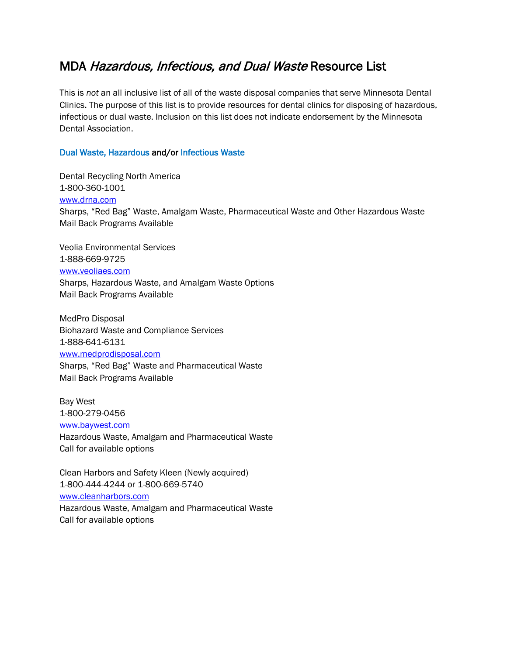## MDA Hazardous, Infectious, and Dual Waste Resource List

This is *not* an all inclusive list of all of the waste disposal companies that serve Minnesota Dental Clinics. The purpose of this list is to provide resources for dental clinics for disposing of hazardous, infectious or dual waste. Inclusion on this list does not indicate endorsement by the Minnesota Dental Association.

## Dual Waste, Hazardous and/or Infectious Waste

Dental Recycling North America 1-800-360-1001 [www.drna.com](http://www.drna.com/) Sharps, "Red Bag" Waste, Amalgam Waste, Pharmaceutical Waste and Other Hazardous Waste Mail Back Programs Available

Veolia Environmental Services 1-888-669-9725 [www.veoliaes.com](http://www.veoliaes.com/) Sharps, Hazardous Waste, and Amalgam Waste Options Mail Back Programs Available

MedPro Disposal Biohazard Waste and Compliance Services 1-888-641-6131 [www.medprodisposal.com](http://www.medprodisposal.com/) Sharps, "Red Bag" Waste and Pharmaceutical Waste

Mail Back Programs Available Bay West 1-800-279-0456

[www.baywest.com](http://www.baywest.com/) Hazardous Waste, Amalgam and Pharmaceutical Waste Call for available options

Clean Harbors and Safety Kleen (Newly acquired) 1-800-444-4244 or 1-800-669-5740 [www.cleanharbors.com](http://www.cleanharbors.com/) Hazardous Waste, Amalgam and Pharmaceutical Waste Call for available options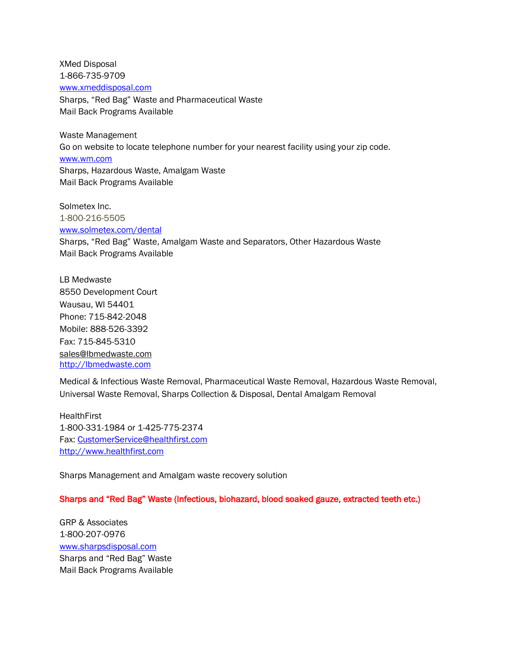XMed Disposal 1-866-735-9709 [www.xmeddisposal.com](http://www.xmeddisposal.com/)

Sharps, "Red Bag" Waste and Pharmaceutical Waste Mail Back Programs Available

Waste Management Go on website to locate telephone number for your nearest facility using your zip code. [www.wm.com](http://www.wm.com/) Sharps, Hazardous Waste, Amalgam Waste Mail Back Programs Available

Solmetex Inc. 1-800-216-5505 [www.solmetex.com/dental](http://www.solmetex.com/dental) Sharps, "Red Bag" Waste, Amalgam Waste and Separators, Other Hazardous Waste Mail Back Programs Available

LB Medwaste 8550 Development Court Wausau, WI 54401 Phone: 715-842-2048 Mobile: 888-526-3392 Fax: 715-845-5310 [sales@lbmedwaste.com](mailto:sales@lbmedwaste.com) [http://lbmedwaste.com](http://lbmedwaste.com/)

Medical & Infectious Waste Removal, Pharmaceutical Waste Removal, Hazardous Waste Removal, Universal Waste Removal, Sharps Collection & Disposal, Dental Amalgam Removal

**HealthFirst** 1-800-331-1984 or 1-425-775-2374 Fax: [CustomerService@healthfirst.com](mailto:CustomerService@healthfirst.com) [http://www.healthfirst.com](http://www.healthfirst.com/)

Sharps Management and Amalgam waste recovery solution

Sharps and "Red Bag" Waste (Infectious, biohazard, blood soaked gauze, extracted teeth etc.)

GRP & Associates 1-800-207-0976 [www.sharpsdisposal.com](http://www.sharpsdisposal.com/) Sharps and "Red Bag" Waste Mail Back Programs Available